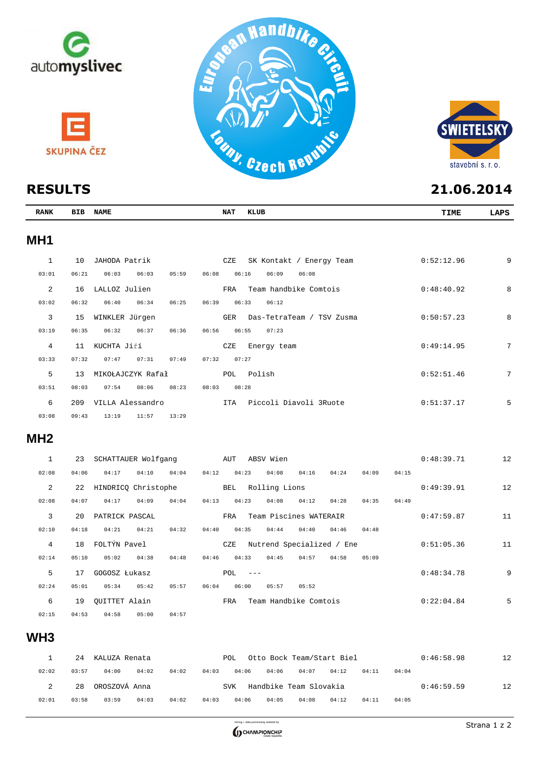



| <b>RANK</b>     | <b>BIB</b> | <b>NAME</b>       |       | <b>KLUB</b><br><b>NAT</b>               | TIME       | LAPS            |
|-----------------|------------|-------------------|-------|-----------------------------------------|------------|-----------------|
| MH <sub>1</sub> |            |                   |       |                                         |            |                 |
| $\mathbf{1}$    | 10         | JAHODA Patrik     |       | CZE<br>SK Kontakt / Energy Team         | 0:52:12.96 | 9               |
| 03:01           | 06:21      | 06:03<br>06:03    | 05:59 | 06:16<br>06:09<br>06:08<br>06:08        |            |                 |
| 2               | 16         | LALLOZ Julien     |       | Team handbike Comtois<br>FRA            | 0:48:40.92 | 8               |
| 03:02           | 06:32      | 06:40<br>06:34    | 06:25 | 06:12<br>06:39<br>06:33                 |            |                 |
| 3               | 15         | WINKLER Jürgen    |       | <b>GER</b><br>Das-TetraTeam / TSV Zusma | 0:50:57.23 | 8               |
| 03:19           | 06:35      | 06:32<br>06:37    | 06:36 | 07:23<br>06:56<br>06:55                 |            |                 |
| 4               | 11         | KUCHTA Jiří       |       | CZE<br>Energy team                      | 0:49:14.95 | $7\phantom{.0}$ |
| 03:33           | 07:32      | 07:47<br>07:31    | 07:49 | 07:32<br>07:27                          |            |                 |
| 5               | 13         | MIKOŁAJCZYK Rafał |       | Polish<br>POL                           | 0:52:51.46 | 7               |
| 03:51           | 08:03      | 07:54<br>08:06    | 08:23 | 08:28<br>08:03                          |            |                 |
| 6               | 209        | VILLA Alessandro  |       | Piccoli Diavoli 3Ruote<br><b>ITA</b>    | 0:51:37.17 | 5               |
| 03:08           | 09:43      | 13:19<br>11:57    | 13:29 |                                         |            |                 |

### **MH2**

| 1     | 23    | SCHATTAUER Wolfgang  |       | AUT   | ABSV Wien                 |       |       |       |       | 0:48:39.71 | 12 |
|-------|-------|----------------------|-------|-------|---------------------------|-------|-------|-------|-------|------------|----|
| 02:08 | 04:06 | 04:17<br>04:10       | 04:04 | 04:12 | 04:23<br>04:08            | 04:16 | 04:24 | 04:09 | 04:15 |            |    |
| 2     | 22    | HINDRICO Christophe  |       | BEL   | Rolling Lions             |       |       |       |       | 0:49:39.91 | 12 |
| 02:08 | 04:07 | 04:17<br>04:09       | 04:04 | 04:13 | 04:23<br>04:08            | 04:12 | 04:28 | 04:35 | 04:49 |            |    |
| 3     | 20    | PATRICK PASCAL       |       | FRA   | Team Piscines WATERAIR    |       |       |       |       | 0:47:59.87 | 11 |
| 02:10 | 04:18 | 04:21<br>04:21       | 04:32 | 04:40 | 04:35<br>04:44            | 04:40 | 04:46 | 04:48 |       |            |    |
| 4     | 18    | FOLTÝN Pavel         |       | CZE   | Nutrend Specialized / Ene |       |       |       |       | 0:51:05.36 | 11 |
| 02:14 | 05:10 | 04:38<br>05:02       | 04:48 | 04:46 | 04:33<br>04:45            | 04:57 | 04:58 | 05:09 |       |            |    |
| 5     | 17    | GOGOSZ Łukasz        |       | POL   | $- - -$                   |       |       |       |       | 0:48:34.78 | 9  |
| 02:24 | 05:01 | 05:42<br>05:34       | 05:57 | 06:04 | 05:57<br>06:00            | 05:52 |       |       |       |            |    |
| 6     | 19    | <b>OUITTET Alain</b> |       | FRA   | Team Handbike Comtois     |       |       |       |       | 0:22:04.84 | 5  |
| 02:15 | 04:53 | 05:00<br>04:58       | 04:57 |       |                           |       |       |       |       |            |    |

# **WH3**

|       | 24    | KALUZA Renata |       |       | Otto Bock Team/Start Biel<br>0:46:58.98<br>POL. |            |                        |       |       |       |       |            | 12 |
|-------|-------|---------------|-------|-------|-------------------------------------------------|------------|------------------------|-------|-------|-------|-------|------------|----|
| 02:02 | 03:57 | 04:00         | 04:02 | 04:02 | 04:03                                           | 04:06      | 04:06                  | 04:07 | 04:12 | 04:11 | 04:04 |            |    |
|       | 28    | OROSZOVÁ Anna |       |       |                                                 | <b>SVK</b> | Handbike Team Slovakia |       |       |       |       | 0:46:59.59 | 12 |
| 02:01 | 03:58 | 03:59         | 04:03 | 04:02 | 04:03                                           | 04:06      | 04:05                  | 04:08 | 04:12 | 04:11 | 04:05 |            |    |